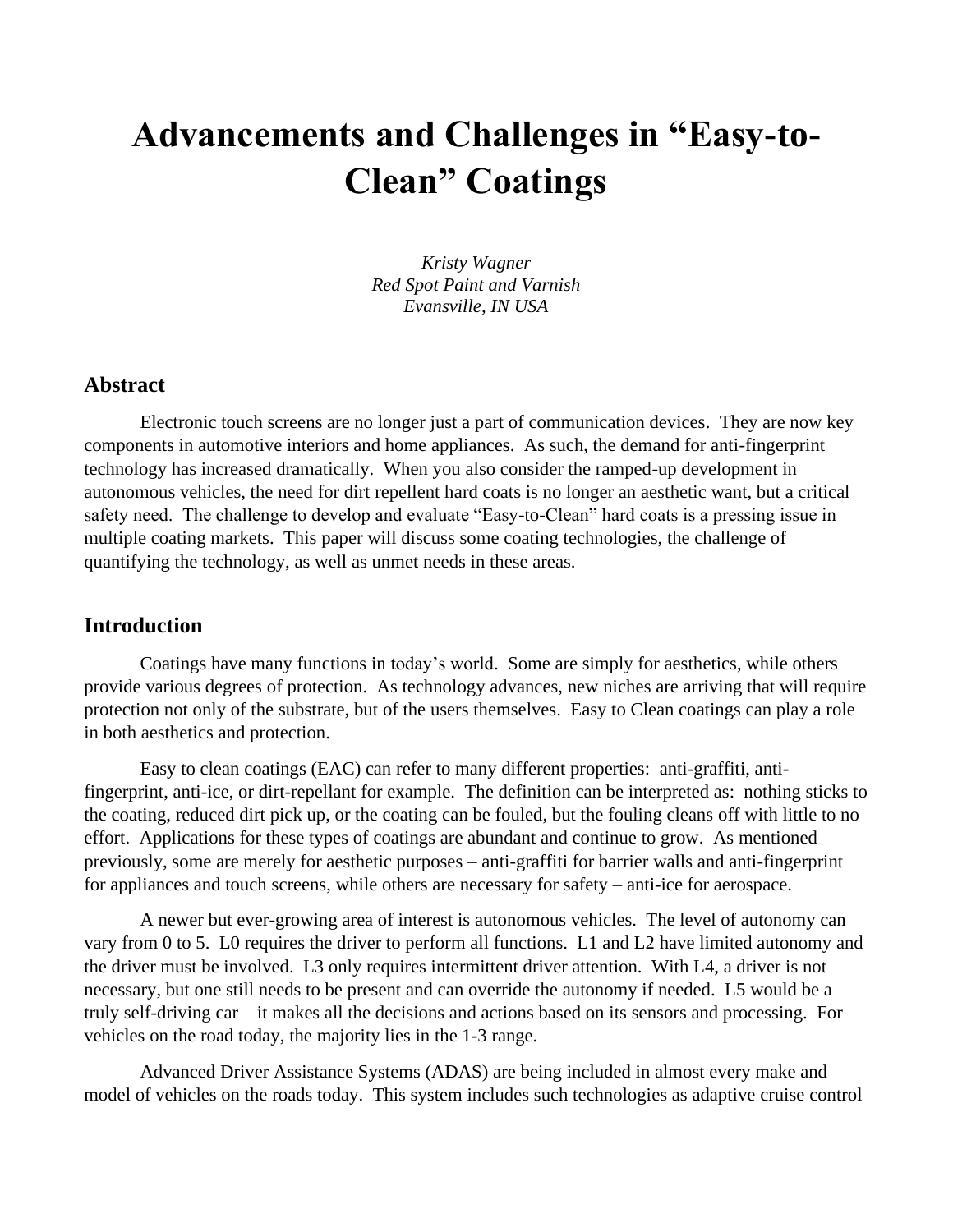# **Advancements and Challenges in "Easy-to-Clean" Coatings**

*Kristy Wagner Red Spot Paint and Varnish Evansville, IN USA*

#### **Abstract**

Electronic touch screens are no longer just a part of communication devices. They are now key components in automotive interiors and home appliances. As such, the demand for anti-fingerprint technology has increased dramatically. When you also consider the ramped-up development in autonomous vehicles, the need for dirt repellent hard coats is no longer an aesthetic want, but a critical safety need. The challenge to develop and evaluate "Easy-to-Clean" hard coats is a pressing issue in multiple coating markets. This paper will discuss some coating technologies, the challenge of quantifying the technology, as well as unmet needs in these areas.

#### **Introduction**

Coatings have many functions in today's world. Some are simply for aesthetics, while others provide various degrees of protection. As technology advances, new niches are arriving that will require protection not only of the substrate, but of the users themselves. Easy to Clean coatings can play a role in both aesthetics and protection.

Easy to clean coatings (EAC) can refer to many different properties: anti-graffiti, antifingerprint, anti-ice, or dirt-repellant for example. The definition can be interpreted as: nothing sticks to the coating, reduced dirt pick up, or the coating can be fouled, but the fouling cleans off with little to no effort. Applications for these types of coatings are abundant and continue to grow. As mentioned previously, some are merely for aesthetic purposes – anti-graffiti for barrier walls and anti-fingerprint for appliances and touch screens, while others are necessary for safety – anti-ice for aerospace.

A newer but ever-growing area of interest is autonomous vehicles. The level of autonomy can vary from 0 to 5. L0 requires the driver to perform all functions. L1 and L2 have limited autonomy and the driver must be involved. L3 only requires intermittent driver attention. With L4, a driver is not necessary, but one still needs to be present and can override the autonomy if needed. L5 would be a truly self-driving car – it makes all the decisions and actions based on its sensors and processing. For vehicles on the road today, the majority lies in the 1-3 range.

Advanced Driver Assistance Systems (ADAS) are being included in almost every make and model of vehicles on the roads today. This system includes such technologies as adaptive cruise control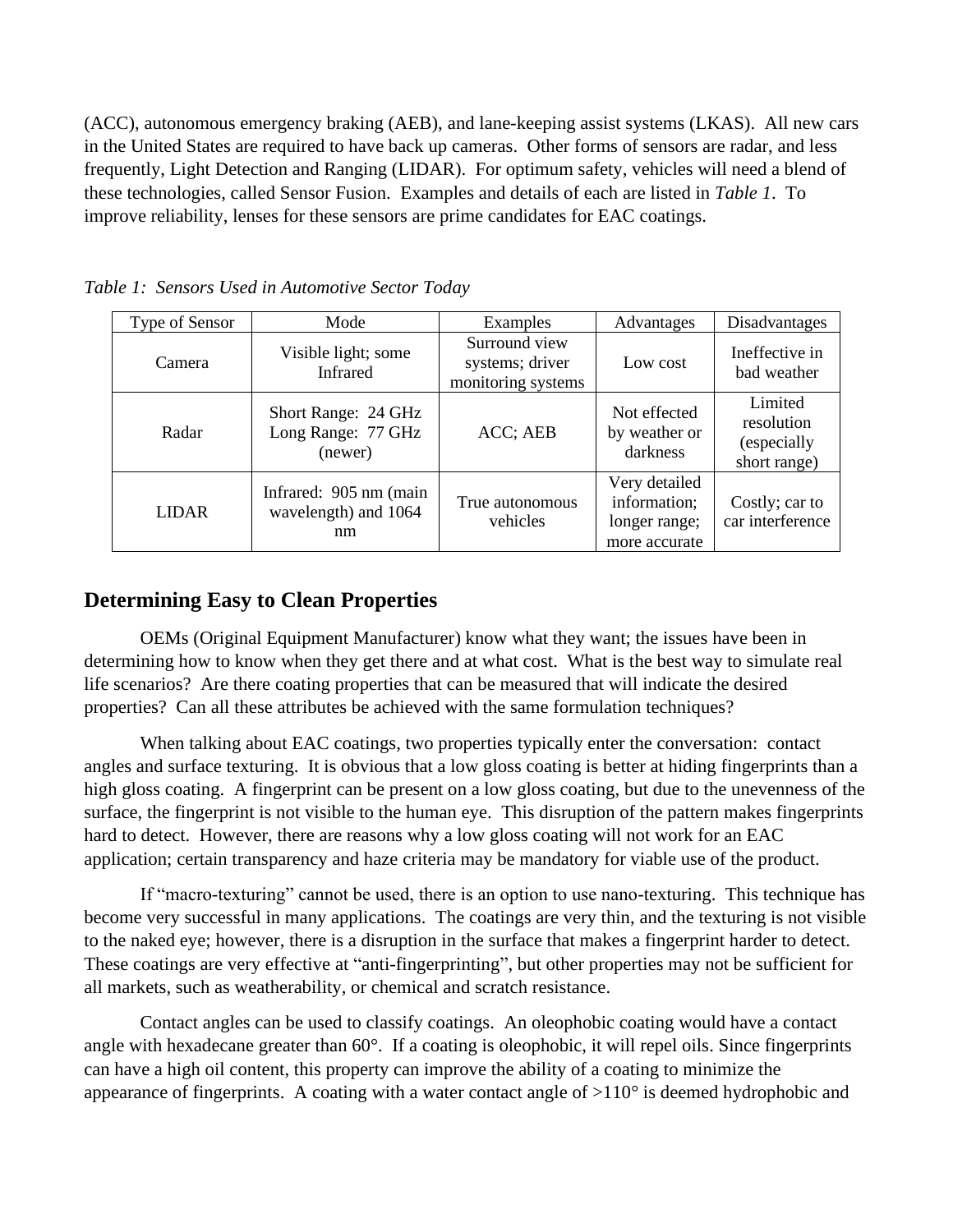(ACC), autonomous emergency braking (AEB), and lane-keeping assist systems (LKAS). All new cars in the United States are required to have back up cameras. Other forms of sensors are radar, and less frequently, Light Detection and Ranging (LIDAR). For optimum safety, vehicles will need a blend of these technologies, called Sensor Fusion. Examples and details of each are listed in *Table 1*. To improve reliability, lenses for these sensors are prime candidates for EAC coatings.

| Type of Sensor | Mode                                                  | Examples                                               | Advantages                                                      | Disadvantages                                        |
|----------------|-------------------------------------------------------|--------------------------------------------------------|-----------------------------------------------------------------|------------------------------------------------------|
| Camera         | Visible light; some<br>Infrared                       | Surround view<br>systems; driver<br>monitoring systems | Low cost                                                        | Ineffective in<br>bad weather                        |
| Radar          | Short Range: 24 GHz<br>Long Range: 77 GHz<br>(newer)  | ACC; AEB                                               | Not effected<br>by weather or<br>darkness                       | Limited<br>resolution<br>(especially<br>short range) |
| <b>LIDAR</b>   | Infrared: 905 nm (main)<br>wavelength) and 1064<br>nm | True autonomous<br>vehicles                            | Very detailed<br>information;<br>longer range;<br>more accurate | Costly; car to<br>car interference                   |

*Table 1: Sensors Used in Automotive Sector Today*

## **Determining Easy to Clean Properties**

OEMs (Original Equipment Manufacturer) know what they want; the issues have been in determining how to know when they get there and at what cost. What is the best way to simulate real life scenarios? Are there coating properties that can be measured that will indicate the desired properties? Can all these attributes be achieved with the same formulation techniques?

When talking about EAC coatings, two properties typically enter the conversation: contact angles and surface texturing. It is obvious that a low gloss coating is better at hiding fingerprints than a high gloss coating. A fingerprint can be present on a low gloss coating, but due to the unevenness of the surface, the fingerprint is not visible to the human eye. This disruption of the pattern makes fingerprints hard to detect. However, there are reasons why a low gloss coating will not work for an EAC application; certain transparency and haze criteria may be mandatory for viable use of the product.

If "macro-texturing" cannot be used, there is an option to use nano-texturing. This technique has become very successful in many applications. The coatings are very thin, and the texturing is not visible to the naked eye; however, there is a disruption in the surface that makes a fingerprint harder to detect. These coatings are very effective at "anti-fingerprinting", but other properties may not be sufficient for all markets, such as weatherability, or chemical and scratch resistance.

Contact angles can be used to classify coatings. An oleophobic coating would have a contact angle with hexadecane greater than 60°. If a coating is oleophobic, it will repel oils. Since fingerprints can have a high oil content, this property can improve the ability of a coating to minimize the appearance of fingerprints. A coating with a water contact angle of >110° is deemed hydrophobic and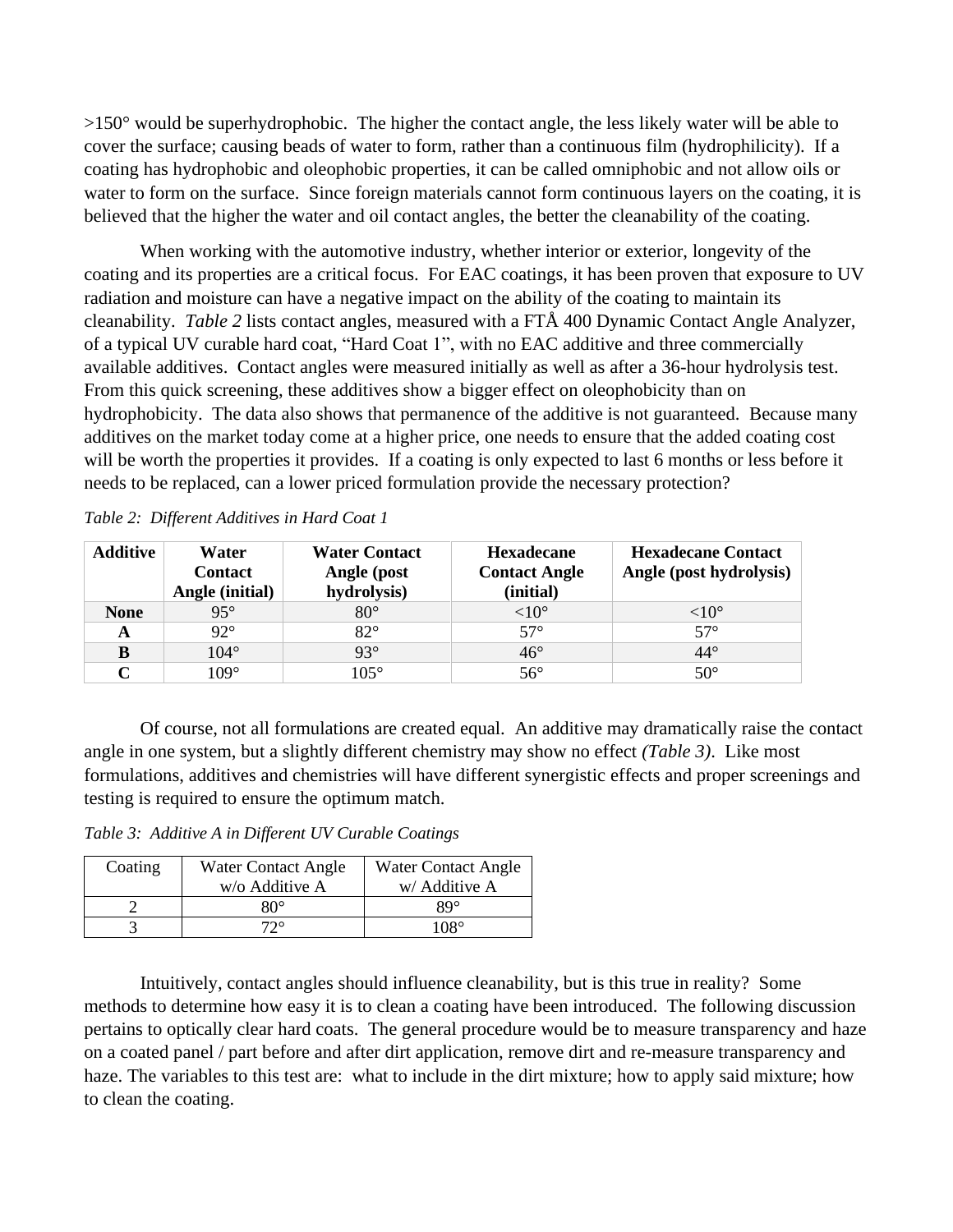$>150^{\circ}$  would be superhydrophobic. The higher the contact angle, the less likely water will be able to cover the surface; causing beads of water to form, rather than a continuous film (hydrophilicity). If a coating has hydrophobic and oleophobic properties, it can be called omniphobic and not allow oils or water to form on the surface. Since foreign materials cannot form continuous layers on the coating, it is believed that the higher the water and oil contact angles, the better the cleanability of the coating.

When working with the automotive industry, whether interior or exterior, longevity of the coating and its properties are a critical focus. For EAC coatings, it has been proven that exposure to UV radiation and moisture can have a negative impact on the ability of the coating to maintain its cleanability. *Table 2* lists contact angles, measured with a FTÅ 400 Dynamic Contact Angle Analyzer, of a typical UV curable hard coat, "Hard Coat 1", with no EAC additive and three commercially available additives. Contact angles were measured initially as well as after a 36-hour hydrolysis test. From this quick screening, these additives show a bigger effect on oleophobicity than on hydrophobicity. The data also shows that permanence of the additive is not guaranteed. Because many additives on the market today come at a higher price, one needs to ensure that the added coating cost will be worth the properties it provides. If a coating is only expected to last 6 months or less before it needs to be replaced, can a lower priced formulation provide the necessary protection?

| <b>Additive</b> | Water<br><b>Contact</b><br>Angle (initial) | <b>Water Contact</b><br>Angle (post<br>hydrolysis) | Hexadecane<br><b>Contact Angle</b><br>(initial) | <b>Hexadecane Contact</b><br>Angle (post hydrolysis) |
|-----------------|--------------------------------------------|----------------------------------------------------|-------------------------------------------------|------------------------------------------------------|
| <b>None</b>     | $95^{\circ}$                               | $80^\circ$                                         | $<$ 10 $^{\circ}$                               | ${<}10^{\circ}$                                      |
| A               | $92^{\circ}$                               | $82^{\circ}$                                       | $57^\circ$                                      | $57^\circ$                                           |
| в               | $104^\circ$                                | $93^\circ$                                         | $46^{\circ}$                                    | $44^{\circ}$                                         |
| C               | $109^\circ$                                | $105^\circ$                                        | $56^{\circ}$                                    | $50^{\circ}$                                         |

*Table 2: Different Additives in Hard Coat 1*

Of course, not all formulations are created equal. An additive may dramatically raise the contact angle in one system, but a slightly different chemistry may show no effect *(Table 3)*. Like most formulations, additives and chemistries will have different synergistic effects and proper screenings and testing is required to ensure the optimum match.

*Table 3: Additive A in Different UV Curable Coatings*

| Coating | <b>Water Contact Angle</b> | Water Contact Angle |  |
|---------|----------------------------|---------------------|--|
|         | $w$ /o Additive A          | w/ Additive A       |  |
|         | $80^{\circ}$               | 89°                 |  |
|         | $72^{\circ}$               | 108°                |  |

Intuitively, contact angles should influence cleanability, but is this true in reality? Some methods to determine how easy it is to clean a coating have been introduced. The following discussion pertains to optically clear hard coats. The general procedure would be to measure transparency and haze on a coated panel / part before and after dirt application, remove dirt and re-measure transparency and haze. The variables to this test are: what to include in the dirt mixture; how to apply said mixture; how to clean the coating.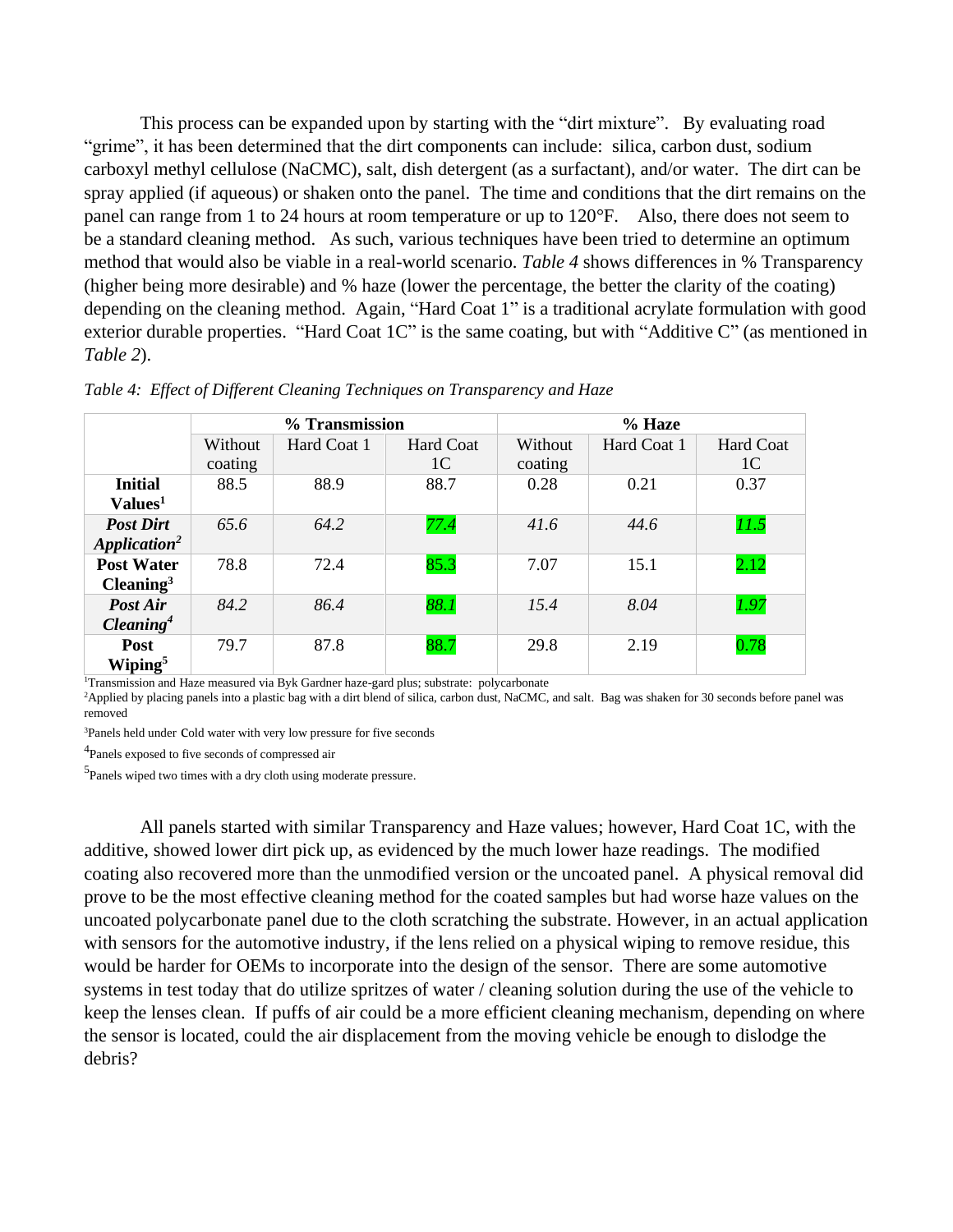This process can be expanded upon by starting with the "dirt mixture". By evaluating road "grime", it has been determined that the dirt components can include: silica, carbon dust, sodium carboxyl methyl cellulose (NaCMC), salt, dish detergent (as a surfactant), and/or water. The dirt can be spray applied (if aqueous) or shaken onto the panel. The time and conditions that the dirt remains on the panel can range from 1 to 24 hours at room temperature or up to 120°F. Also, there does not seem to be a standard cleaning method. As such, various techniques have been tried to determine an optimum method that would also be viable in a real-world scenario. *Table 4* shows differences in % Transparency (higher being more desirable) and % haze (lower the percentage, the better the clarity of the coating) depending on the cleaning method. Again, "Hard Coat 1" is a traditional acrylate formulation with good exterior durable properties. "Hard Coat 1C" is the same coating, but with "Additive C" (as mentioned in *Table 2*).

|                          | % Transmission |             |                  | % Haze  |             |                |
|--------------------------|----------------|-------------|------------------|---------|-------------|----------------|
|                          | Without        | Hard Coat 1 | <b>Hard Coat</b> | Without | Hard Coat 1 | Hard Coat      |
|                          | coating        |             | 1C               | coating |             | 1 <sup>C</sup> |
| <b>Initial</b>           | 88.5           | 88.9        | 88.7             | 0.28    | 0.21        | 0.37           |
| Values <sup>1</sup>      |                |             |                  |         |             |                |
| <b>Post Dirt</b>         | 65.6           | 64.2        | 77.4             | 41.6    | 44.6        | 11.5           |
| Application <sup>2</sup> |                |             |                  |         |             |                |
| <b>Post Water</b>        | 78.8           | 72.4        | 85.3             | 7.07    | 15.1        | 2.12           |
| $\text{Cleaning}^3$      |                |             |                  |         |             |                |
| Post Air                 | 84.2           | 86.4        | 88.1             | 15.4    | 8.04        | 1.97           |
| $\mathbf{Clearly}^4$     |                |             |                  |         |             |                |
| Post                     | 79.7           | 87.8        | 88.7             | 29.8    | 2.19        | 0.78           |
| Wiping <sup>5</sup>      |                |             |                  |         |             |                |

*Table 4: Effect of Different Cleaning Techniques on Transparency and Haze* 

<sup>1</sup>Transmission and Haze measured via Byk Gardner haze-gard plus; substrate: polycarbonate

<sup>2</sup>Applied by placing panels into a plastic bag with a dirt blend of silica, carbon dust, NaCMC, and salt. Bag was shaken for 30 seconds before panel was removed

<sup>3</sup>Panels held under cold water with very low pressure for five seconds

<sup>4</sup> Panels exposed to five seconds of compressed air

<sup>5</sup>Panels wiped two times with a dry cloth using moderate pressure.

All panels started with similar Transparency and Haze values; however, Hard Coat 1C, with the additive, showed lower dirt pick up, as evidenced by the much lower haze readings. The modified coating also recovered more than the unmodified version or the uncoated panel. A physical removal did prove to be the most effective cleaning method for the coated samples but had worse haze values on the uncoated polycarbonate panel due to the cloth scratching the substrate. However, in an actual application with sensors for the automotive industry, if the lens relied on a physical wiping to remove residue, this would be harder for OEMs to incorporate into the design of the sensor. There are some automotive systems in test today that do utilize spritzes of water / cleaning solution during the use of the vehicle to keep the lenses clean. If puffs of air could be a more efficient cleaning mechanism, depending on where the sensor is located, could the air displacement from the moving vehicle be enough to dislodge the debris?